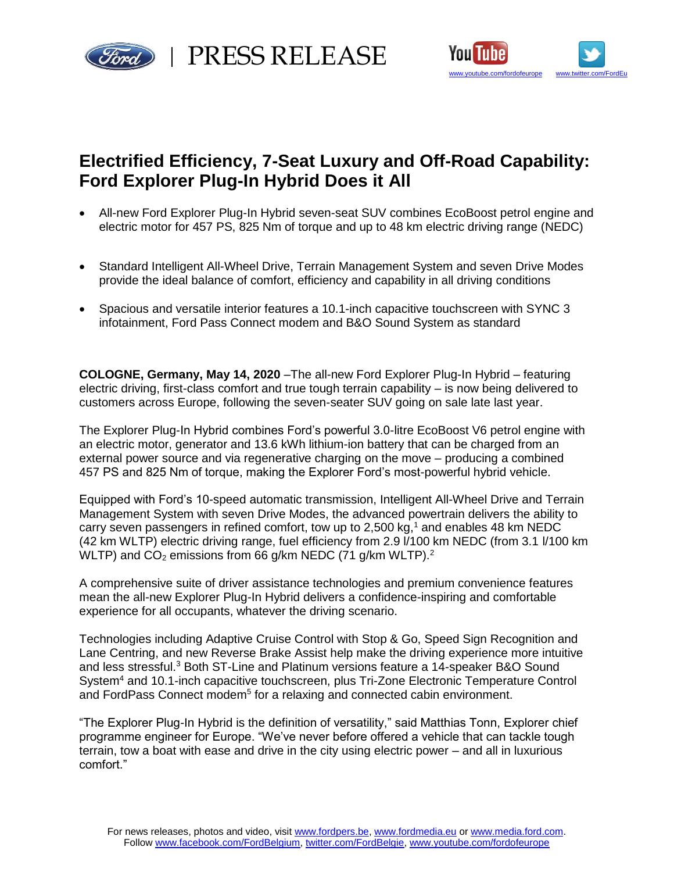

red | PRESS RELEASE



# **Electrified Efficiency, 7-Seat Luxury and Off-Road Capability: Ford Explorer Plug-In Hybrid Does it All**

- All-new Ford Explorer Plug-In Hybrid seven-seat SUV combines EcoBoost petrol engine and electric motor for 457 PS, 825 Nm of torque and up to 48 km electric driving range (NEDC)
- Standard Intelligent All-Wheel Drive, Terrain Management System and seven Drive Modes provide the ideal balance of comfort, efficiency and capability in all driving conditions
- Spacious and versatile interior features a 10.1-inch capacitive touchscreen with SYNC 3 infotainment, Ford Pass Connect modem and B&O Sound System as standard

**COLOGNE, Germany, May 14, 2020** –The all-new Ford Explorer Plug-In Hybrid – featuring electric driving, first-class comfort and true tough terrain capability – is now being delivered to customers across Europe, following the seven-seater SUV going on sale late last year.

The Explorer Plug-In Hybrid combines Ford's powerful 3.0-litre EcoBoost V6 petrol engine with an electric motor, generator and 13.6 kWh lithium-ion battery that can be charged from an external power source and via regenerative charging on the move – producing a combined 457 PS and 825 Nm of torque, making the Explorer Ford's most-powerful hybrid vehicle.

Equipped with Ford's 10-speed automatic transmission, Intelligent All-Wheel Drive and Terrain Management System with seven Drive Modes, the advanced powertrain delivers the ability to carry seven passengers in refined comfort, tow up to 2,500 kg, $1$  and enables 48 km NEDC (42 km WLTP) electric driving range, fuel efficiency from 2.9 l/100 km NEDC (from 3.1 l/100 km WLTP) and  $CO<sub>2</sub>$  emissions from 66 g/km NEDC (71 g/km WLTP).<sup>2</sup>

A comprehensive suite of driver assistance technologies and premium convenience features mean the all-new Explorer Plug-In Hybrid delivers a confidence-inspiring and comfortable experience for all occupants, whatever the driving scenario.

Technologies including Adaptive Cruise Control with Stop & Go, Speed Sign Recognition and Lane Centring, and new Reverse Brake Assist help make the driving experience more intuitive and less stressful.<sup>3</sup> Both ST-Line and Platinum versions feature a 14-speaker B&O Sound System<sup>4</sup> and 10.1-inch capacitive touchscreen, plus Tri-Zone Electronic Temperature Control and FordPass Connect modem<sup>5</sup> for a relaxing and connected cabin environment.

"The Explorer Plug-In Hybrid is the definition of versatility," said Matthias Tonn, Explorer chief programme engineer for Europe. "We've never before offered a vehicle that can tackle tough terrain, tow a boat with ease and drive in the city using electric power – and all in luxurious comfort."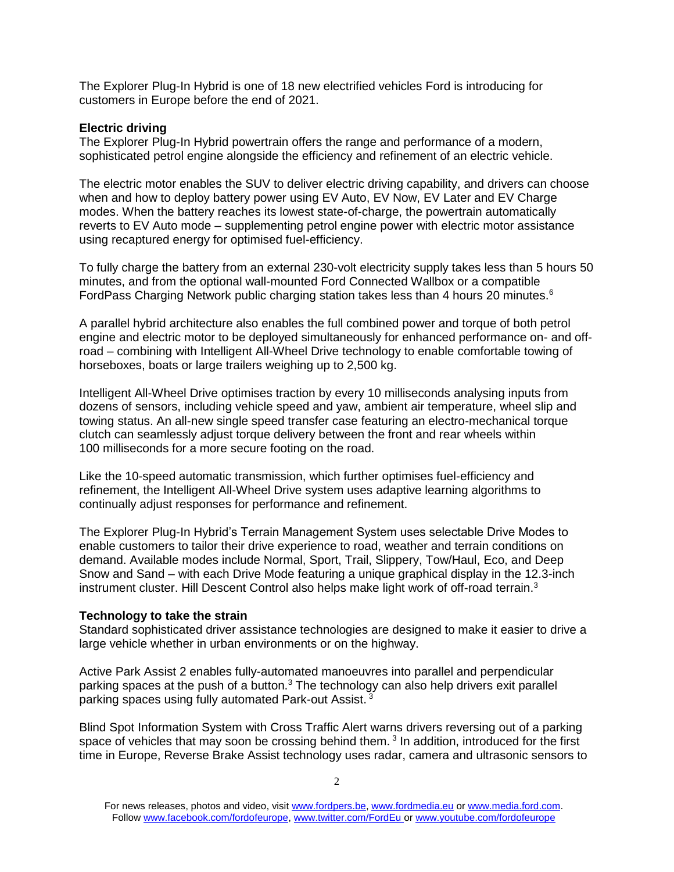The Explorer Plug-In Hybrid is one of 18 new electrified vehicles Ford is introducing for customers in Europe before the end of 2021.

# **Electric driving**

The Explorer Plug-In Hybrid powertrain offers the range and performance of a modern, sophisticated petrol engine alongside the efficiency and refinement of an electric vehicle.

The electric motor enables the SUV to deliver electric driving capability, and drivers can choose when and how to deploy battery power using EV Auto, EV Now, EV Later and EV Charge modes. When the battery reaches its lowest state-of-charge, the powertrain automatically reverts to EV Auto mode – supplementing petrol engine power with electric motor assistance using recaptured energy for optimised fuel-efficiency.

To fully charge the battery from an external 230-volt electricity supply takes less than 5 hours 50 minutes, and from the optional wall-mounted Ford Connected Wallbox or a compatible FordPass Charging Network public charging station takes less than 4 hours 20 minutes.<sup>6</sup>

A parallel hybrid architecture also enables the full combined power and torque of both petrol engine and electric motor to be deployed simultaneously for enhanced performance on- and offroad – combining with Intelligent All-Wheel Drive technology to enable comfortable towing of horseboxes, boats or large trailers weighing up to 2,500 kg.

Intelligent All-Wheel Drive optimises traction by every 10 milliseconds analysing inputs from dozens of sensors, including vehicle speed and yaw, ambient air temperature, wheel slip and towing status. An all-new single speed transfer case featuring an electro-mechanical torque clutch can seamlessly adjust torque delivery between the front and rear wheels within 100 milliseconds for a more secure footing on the road.

Like the 10-speed automatic transmission, which further optimises fuel-efficiency and refinement, the Intelligent All-Wheel Drive system uses adaptive learning algorithms to continually adjust responses for performance and refinement.

The Explorer Plug-In Hybrid's Terrain Management System uses selectable Drive Modes to enable customers to tailor their drive experience to road, weather and terrain conditions on demand. Available modes include Normal, Sport, Trail, Slippery, Tow/Haul, Eco, and Deep Snow and Sand – with each Drive Mode featuring a unique graphical display in the 12.3-inch instrument cluster. Hill Descent Control also helps make light work of off-road terrain.<sup>3</sup>

## **Technology to take the strain**

Standard sophisticated driver assistance technologies are designed to make it easier to drive a large vehicle whether in urban environments or on the highway.

Active Park Assist 2 enables fully-automated manoeuvres into parallel and perpendicular parking spaces at the push of a button. $3$  The technology can also help drivers exit parallel parking spaces using fully automated Park-out Assist. <sup>3</sup>

Blind Spot Information System with Cross Traffic Alert warns drivers reversing out of a parking space of vehicles that may soon be crossing behind them.  $3$  In addition, introduced for the first time in Europe, Reverse Brake Assist technology uses radar, camera and ultrasonic sensors to

For news releases, photos and video, visit [www.fordpers.be,](http://www.fordpers.be/) [www.fordmedia.eu](http://www.fordmedia.eu/) or [www.media.ford.com.](http://www.media.ford.com/) Follo[w www.facebook.com/fordofeurope,](http://www.facebook.com/fordofeurope) [www.twitter.com/FordEu](http://www.twitter.com/FordEu) o[r www.youtube.com/fordofeurope](http://www.youtube.com/fordofeurope)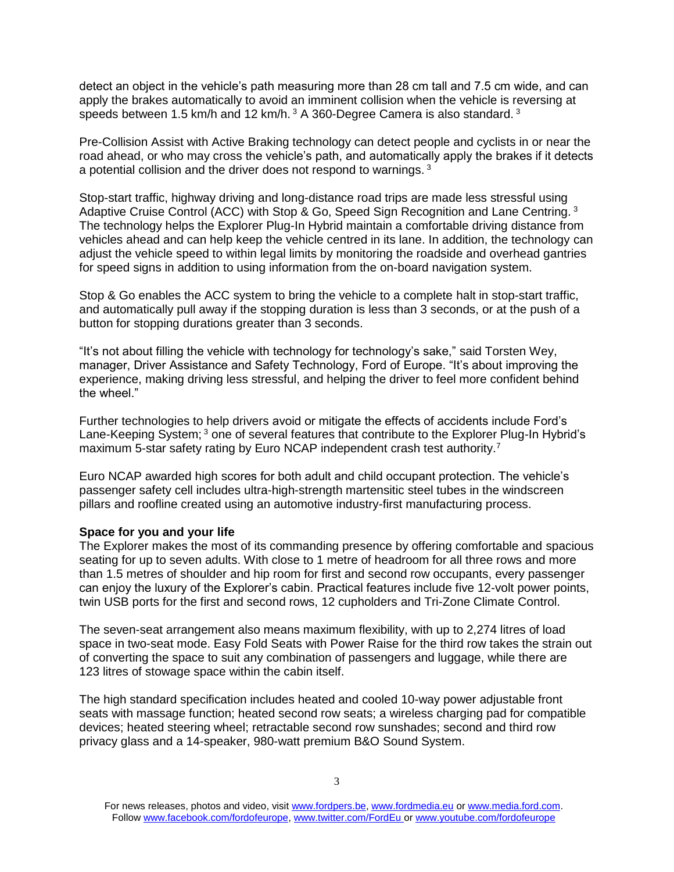detect an object in the vehicle's path measuring more than 28 cm tall and 7.5 cm wide, and can apply the brakes automatically to avoid an imminent collision when the vehicle is reversing at speeds between 1.5 km/h and 12 km/h.  $3 \text{ A } 360$ -Degree Camera is also standard.  $3 \text{ A } 360$ 

Pre-Collision Assist with Active Braking technology can detect people and cyclists in or near the road ahead, or who may cross the vehicle's path, and automatically apply the brakes if it detects a potential collision and the driver does not respond to warnings.<sup>3</sup>

Stop-start traffic, highway driving and long-distance road trips are made less stressful using Adaptive Cruise Control (ACC) with Stop & Go, Speed Sign Recognition and Lane Centring.<sup>3</sup> The technology helps the Explorer Plug-In Hybrid maintain a comfortable driving distance from vehicles ahead and can help keep the vehicle centred in its lane. In addition, the technology can adjust the vehicle speed to within legal limits by monitoring the roadside and overhead gantries for speed signs in addition to using information from the on-board navigation system.

Stop & Go enables the ACC system to bring the vehicle to a complete halt in stop-start traffic, and automatically pull away if the stopping duration is less than 3 seconds, or at the push of a button for stopping durations greater than 3 seconds.

"It's not about filling the vehicle with technology for technology's sake," said Torsten Wey, manager, Driver Assistance and Safety Technology, Ford of Europe. "It's about improving the experience, making driving less stressful, and helping the driver to feel more confident behind the wheel."

Further technologies to help drivers avoid or mitigate the effects of accidents include Ford's Lane-Keeping System;<sup>3</sup> one of several features that contribute to the Explorer Plug-In Hybrid's maximum 5-star safety rating by Euro NCAP independent crash test authority.<sup>7</sup>

Euro NCAP awarded high scores for both adult and child occupant protection. The vehicle's passenger safety cell includes ultra-high-strength martensitic steel tubes in the windscreen pillars and roofline created using an automotive industry-first manufacturing process.

## **Space for you and your life**

The Explorer makes the most of its commanding presence by offering comfortable and spacious seating for up to seven adults. With close to 1 metre of headroom for all three rows and more than 1.5 metres of shoulder and hip room for first and second row occupants, every passenger can enjoy the luxury of the Explorer's cabin. Practical features include five 12-volt power points, twin USB ports for the first and second rows, 12 cupholders and Tri-Zone Climate Control.

The seven-seat arrangement also means maximum flexibility, with up to 2,274 litres of load space in two-seat mode. Easy Fold Seats with Power Raise for the third row takes the strain out of converting the space to suit any combination of passengers and luggage, while there are 123 litres of stowage space within the cabin itself.

The high standard specification includes heated and cooled 10-way power adjustable front seats with massage function; heated second row seats; a wireless charging pad for compatible devices; heated steering wheel; retractable second row sunshades; second and third row privacy glass and a 14-speaker, 980-watt premium B&O Sound System.

For news releases, photos and video, visit [www.fordpers.be,](http://www.fordpers.be/) [www.fordmedia.eu](http://www.fordmedia.eu/) or [www.media.ford.com.](http://www.media.ford.com/) Follo[w www.facebook.com/fordofeurope,](http://www.facebook.com/fordofeurope) [www.twitter.com/FordEu](http://www.twitter.com/FordEu) o[r www.youtube.com/fordofeurope](http://www.youtube.com/fordofeurope)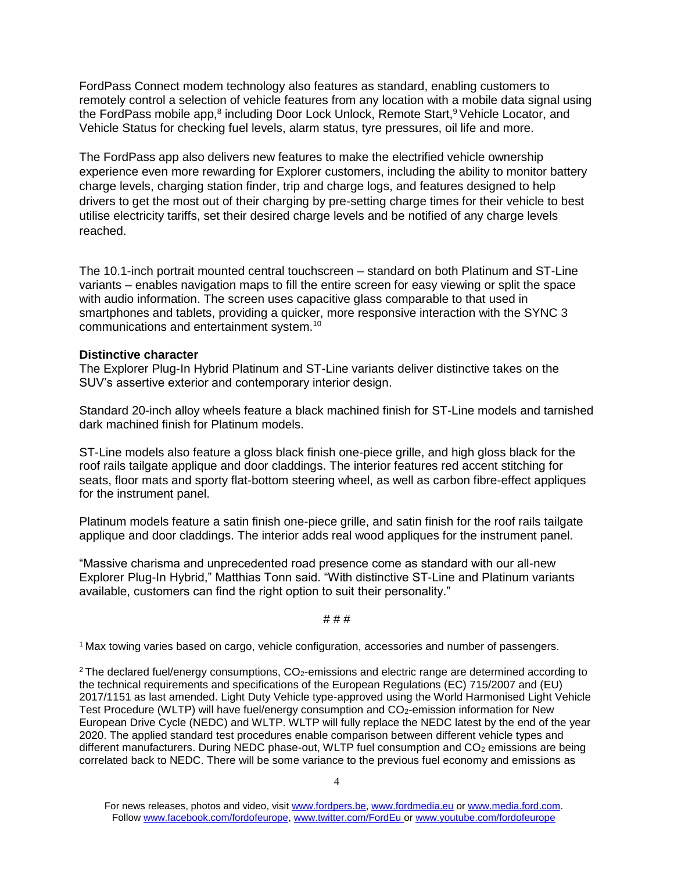FordPass Connect modem technology also features as standard, enabling customers to remotely control a selection of vehicle features from any location with a mobile data signal using the FordPass mobile app,<sup>8</sup> including Door Lock Unlock, Remote Start,<sup>9</sup> Vehicle Locator, and Vehicle Status for checking fuel levels, alarm status, tyre pressures, oil life and more.

The FordPass app also delivers new features to make the electrified vehicle ownership experience even more rewarding for Explorer customers, including the ability to monitor battery charge levels, charging station finder, trip and charge logs, and features designed to help drivers to get the most out of their charging by pre-setting charge times for their vehicle to best utilise electricity tariffs, set their desired charge levels and be notified of any charge levels reached.

The 10.1-inch portrait mounted central touchscreen – standard on both Platinum and ST-Line variants – enables navigation maps to fill the entire screen for easy viewing or split the space with audio information. The screen uses capacitive glass comparable to that used in smartphones and tablets, providing a quicker, more responsive interaction with the SYNC 3 communications and entertainment system.<sup>10</sup>

## **Distinctive character**

The Explorer Plug-In Hybrid Platinum and ST-Line variants deliver distinctive takes on the SUV's assertive exterior and contemporary interior design.

Standard 20-inch alloy wheels feature a black machined finish for ST-Line models and tarnished dark machined finish for Platinum models.

ST-Line models also feature a gloss black finish one-piece grille, and high gloss black for the roof rails tailgate applique and door claddings. The interior features red accent stitching for seats, floor mats and sporty flat-bottom steering wheel, as well as carbon fibre-effect appliques for the instrument panel.

Platinum models feature a satin finish one-piece grille, and satin finish for the roof rails tailgate applique and door claddings. The interior adds real wood appliques for the instrument panel.

"Massive charisma and unprecedented road presence come as standard with our all-new Explorer Plug-In Hybrid," Matthias Tonn said. "With distinctive ST-Line and Platinum variants available, customers can find the right option to suit their personality."

## # # #

<sup>1</sup>Max towing varies based on cargo, vehicle configuration, accessories and number of passengers.

<sup>2</sup> The declared fuel/energy consumptions,  $CO<sub>2</sub>$ -emissions and electric range are determined according to the technical requirements and specifications of the European Regulations (EC) 715/2007 and (EU) 2017/1151 as last amended. Light Duty Vehicle type-approved using the World Harmonised Light Vehicle Test Procedure (WLTP) will have fuel/energy consumption and  $CO_2$ -emission information for New European Drive Cycle (NEDC) and WLTP. WLTP will fully replace the NEDC latest by the end of the year 2020. The applied standard test procedures enable comparison between different vehicle types and different manufacturers. During NEDC phase-out, WLTP fuel consumption and  $CO<sub>2</sub>$  emissions are being correlated back to NEDC. There will be some variance to the previous fuel economy and emissions as